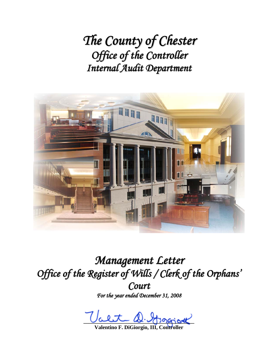*The County of Chester Office of the Controller Internal Audit Department*



*Management Letter Office of the Register of Wills / Clerk of the Orphans ' Court For the year ended December 31, 2008*

Ualiso and the control

**Valentino F. DiGiorgio, III, Controller**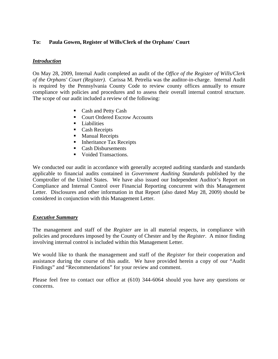#### **To: Paula Gowen, Register of Wills/Clerk of the Orphans' Court**

#### *Introduction*

On May 28, 2009, Internal Audit completed an audit of the *Office of the Register of Wills/Clerk of the Orphans' Court (Register).* Carissa M. Petrelia was the auditor-in-charge. Internal Audit is required by the Pennsylvania County Code to review county offices annually to ensure compliance with policies and procedures and to assess their overall internal control structure. The scope of our audit included a review of the following:

- Cash and Petty Cash
- Court Ordered Escrow Accounts
- $\blacksquare$  Liabilities
- Cash Receipts
- **Manual Receipts**
- Inheritance Tax Receipts
- Cash Disbursements
- Voided Transactions.

We conducted our audit in accordance with generally accepted auditing standards and standards applicable to financial audits contained in *Government Auditing Standards* published by the Comptroller of the United States. We have also issued our Independent Auditor's Report on Compliance and Internal Control over Financial Reporting concurrent with this Management Letter. Disclosures and other information in that Report (also dated May 28, 2009) should be considered in conjunction with this Management Letter.

#### *Executive Summary*

The management and staff of the *Register* are in all material respects, in compliance with policies and procedures imposed by the County of Chester and by the *Register*. A minor finding involving internal control is included within this Management Letter.

We would like to thank the management and staff of the *Register* for their cooperation and assistance during the course of this audit. We have provided herein a copy of our "Audit Findings" and "Recommendations" for your review and comment.

Please feel free to contact our office at (610) 344-6064 should you have any questions or concerns.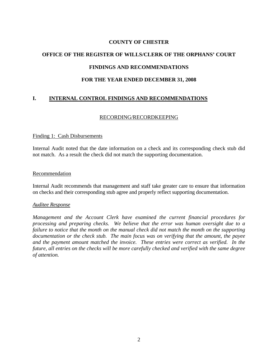#### **COUNTY OF CHESTER**

# **OFFICE OF THE REGISTER OF WILLS/CLERK OF THE ORPHANS' COURT FINDINGS AND RECOMMENDATIONS**

#### **FOR THE YEAR ENDED DECEMBER 31, 2008**

### **I. INTERNAL CONTROL FINDINGS AND RECOMMENDATIONS**

#### RECORDING/RECORDKEEPING

#### Finding 1: Cash Disbursements

Internal Audit noted that the date information on a check and its corresponding check stub did not match. As a result the check did not match the supporting documentation.

#### Recommendation

Internal Audit recommends that management and staff take greater care to ensure that information on checks and their corresponding stub agree and properly reflect supporting documentation.

#### *Auditee Response*

*Management and the Account Clerk have examined the current financial procedures for processing and preparing checks. We believe that the error was human oversight due to a failure to notice that the month on the manual check did not match the month on the supporting documentation or the check stub. The main focus was on verifying that the amount, the payee and the payment amount matched the invoice. These entries were correct as verified. In the future, all entries on the checks will be more carefully checked and verified with the same degree of attention.*